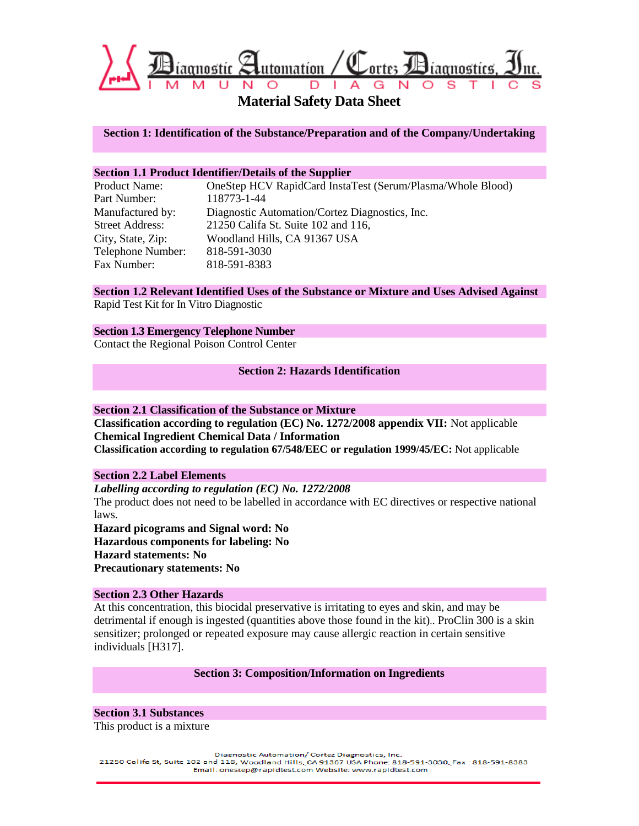

**Material Safety Data Sheet**

**Section 1: Identification of the Substance/Preparation and of the Company/Undertaking**

## **Section 1.1 Product Identifier/Details of the Supplier**

| Product Name:          | OneStep HCV RapidCard InstaTest (Serum/Plasma/Whole Blood) |
|------------------------|------------------------------------------------------------|
| Part Number:           | 118773-1-44                                                |
| Manufactured by:       | Diagnostic Automation/Cortez Diagnostics, Inc.             |
| <b>Street Address:</b> | 21250 Califa St. Suite 102 and 116,                        |
| City, State, Zip:      | Woodland Hills, CA 91367 USA                               |
| Telephone Number:      | 818-591-3030                                               |
| Fax Number:            | 818-591-8383                                               |

**Section 1.2 Relevant Identified Uses of the Substance or Mixture and Uses Advised Against** Rapid Test Kit for In Vitro Diagnostic

### **Section 1.3 Emergency Telephone Number**

Contact the Regional Poison Control Center

### **Section 2: Hazards Identification**

### **Section 2.1 Classification of the Substance or Mixture**

**Classification according to regulation (EC) No. 1272/2008 appendix VII:** Not applicable **Chemical Ingredient Chemical Data / Information Classification according to regulation 67/548/EEC or regulation 1999/45/EC:** Not applicable

## **Section 2.2 Label Elements**

*Labelling according to regulation (EC) No. 1272/2008*  The product does not need to be labelled in accordance with EC directives or respective national laws.

**Hazard picograms and Signal word: No Hazardous components for labeling: No Hazard statements: No Precautionary statements: No** 

### **Section 2.3 Other Hazards**

At this concentration, this biocidal preservative is irritating to eyes and skin, and may be detrimental if enough is ingested (quantities above those found in the kit).. ProClin 300 is a skin sensitizer; prolonged or repeated exposure may cause allergic reaction in certain sensitive individuals [H317].

### **Section 3: Composition/Information on Ingredients**

**Section 3.1 Substances** This product is a mixture

Diagnostic Automation/ Cortez Diagnostics, Inc.

21250 Califa St, Suite 102 and 116, Woodland Hills, CA 91367 USA Phone: 818-591-8030, Fax: 818-591-8383 Email: onestep@rapidtest.com Website: www.rapidtest.com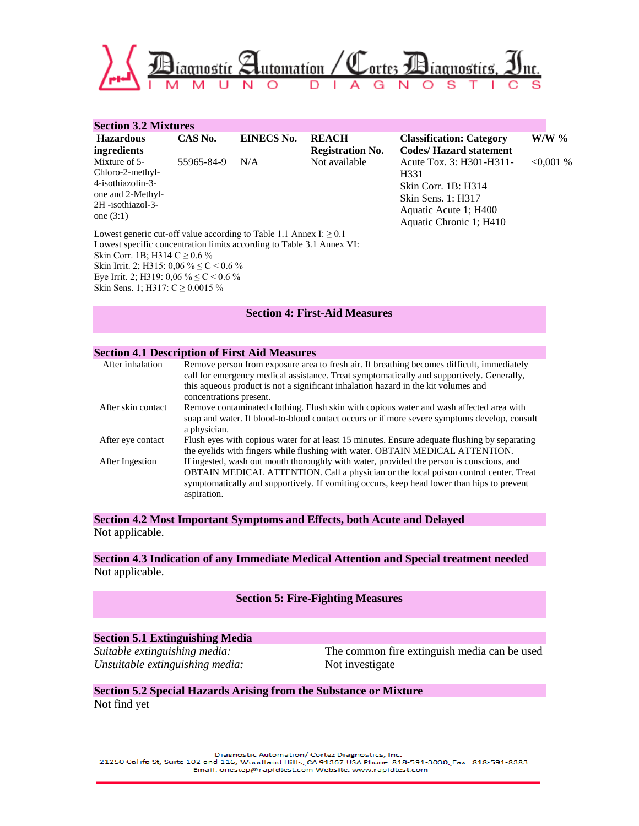

| <b>Section 3.2 Mixtures</b>                                             |            |                   |                         |                                 |              |
|-------------------------------------------------------------------------|------------|-------------------|-------------------------|---------------------------------|--------------|
| <b>Hazardous</b>                                                        | CAS No.    | <b>EINECS No.</b> | <b>REACH</b>            | <b>Classification: Category</b> | $W/W$ %      |
| ingredients                                                             |            |                   | <b>Registration No.</b> | <b>Codes/Hazard statement</b>   |              |
| Mixture of 5-                                                           | 55965-84-9 | N/A               | Not available           | Acute Tox. 3: H301-H311-        | $< 0.001 \%$ |
| Chloro-2-methyl-                                                        |            |                   |                         | H <sub>331</sub>                |              |
| 4-isothiazolin-3-                                                       |            |                   |                         | Skin Corr. 1B: H314             |              |
| one and 2-Methyl-                                                       |            |                   |                         | Skin Sens. 1: H317              |              |
| 2H -isothiazol-3-                                                       |            |                   |                         | Aquatic Acute 1; H400           |              |
| one $(3:1)$                                                             |            |                   |                         | Aquatic Chronic 1; H410         |              |
| Lowest generic cut-off value according to Table 1.1 Annex I: $\geq 0.1$ |            |                   |                         |                                 |              |
| Lowest specific concentration limits according to Table 3.1 Annex VI:   |            |                   |                         |                                 |              |

Skin Corr. 1B; H314 C  $\geq$  0.6 % Skin Irrit. 2; H315: 0,06 % ≤ C < 0.6 % Eye Irrit. 2; H319:  $0.06 \% \leq C \leq 0.6 \%$ Skin Sens. 1; H317: C ≥ 0.0015 %

### **Section 4: First-Aid Measures**

## **Section 4.1 Description of First Aid Measures**

| After inhalation   | Remove person from exposure area to fresh air. If breathing becomes difficult, immediately<br>call for emergency medical assistance. Treat symptomatically and supportively. Generally,                                                                                                       |
|--------------------|-----------------------------------------------------------------------------------------------------------------------------------------------------------------------------------------------------------------------------------------------------------------------------------------------|
|                    | this aqueous product is not a significant inhalation hazard in the kit volumes and<br>concentrations present.                                                                                                                                                                                 |
| After skin contact | Remove contaminated clothing. Flush skin with copious water and wash affected area with<br>soap and water. If blood-to-blood contact occurs or if more severe symptoms develop, consult                                                                                                       |
|                    | a physician.                                                                                                                                                                                                                                                                                  |
| After eye contact  | Flush eyes with copious water for at least 15 minutes. Ensure adequate flushing by separating<br>the evelids with fingers while flushing with water. OBTAIN MEDICAL ATTENTION.                                                                                                                |
| After Ingestion    | If ingested, wash out mouth thoroughly with water, provided the person is conscious, and<br>OBTAIN MEDICAL ATTENTION. Call a physician or the local poison control center. Treat<br>symptomatically and supportively. If vomiting occurs, keep head lower than hips to prevent<br>aspiration. |

**Section 4.2 Most Important Symptoms and Effects, both Acute and Delayed** Not applicable.

## **Section 4.3 Indication of any Immediate Medical Attention and Special treatment needed** Not applicable.

## **Section 5: Fire-Fighting Measures**

#### **Section 5.1 Extinguishing Media**

*Unsuitable extinguishing media:* Not investigate

*Suitable extinguishing media:* The common fire extinguish media can be used

## **Section 5.2 Special Hazards Arising from the Substance or Mixture** Not find yet

Diagnostic Automation/ Cortez Diagnostics, Inc. 21250 Califa St, Suite 102 and 116, Woodland Hills, CA 91367 USA Phone: 818-591-3030, Fax: 818-591-8383 Email: onestep@rapidtest.com Website: www.rapidtest.com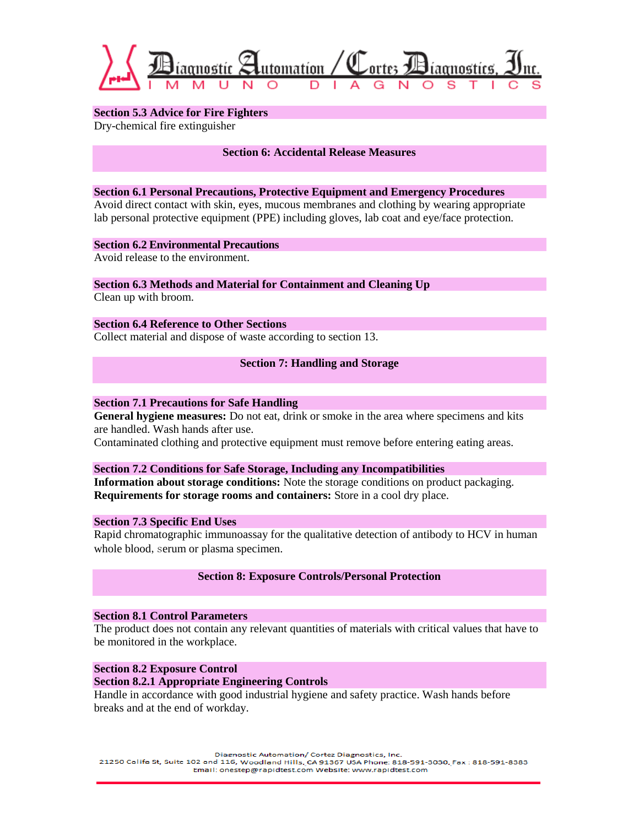

**Section 5.3 Advice for Fire Fighters** Dry-chemical fire extinguisher

**Section 6: Accidental Release Measures**

#### **Section 6.1 Personal Precautions, Protective Equipment and Emergency Procedures**

Avoid direct contact with skin, eyes, mucous membranes and clothing by wearing appropriate lab personal protective equipment (PPE) including gloves, lab coat and eye/face protection.

## **Section 6.2 Environmental Precautions**

Avoid release to the environment.

#### **Section 6.3 Methods and Material for Containment and Cleaning Up**  Clean up with broom.

**Section 6.4 Reference to Other Sections** Collect material and dispose of waste according to section 13.

## **Section 7: Handling and Storage**

## **Section 7.1 Precautions for Safe Handling**

**General hygiene measures:** Do not eat, drink or smoke in the area where specimens and kits are handled. Wash hands after use.

Contaminated clothing and protective equipment must remove before entering eating areas.

### **Section 7.2 Conditions for Safe Storage, Including any Incompatibilities**

**Information about storage conditions:** Note the storage conditions on product packaging. **Requirements for storage rooms and containers:** Store in a cool dry place.

## **Section 7.3 Specific End Uses**

Rapid chromatographic immunoassay for the qualitative detection of antibody to HCV in human whole blood, serum or plasma specimen.

## **Section 8: Exposure Controls/Personal Protection**

### **Section 8.1 Control Parameters**

The product does not contain any relevant quantities of materials with critical values that have to be monitored in the workplace.

**Section 8.2 Exposure Control**

### **Section 8.2.1 Appropriate Engineering Controls**

Handle in accordance with good industrial hygiene and safety practice. Wash hands before breaks and at the end of workday.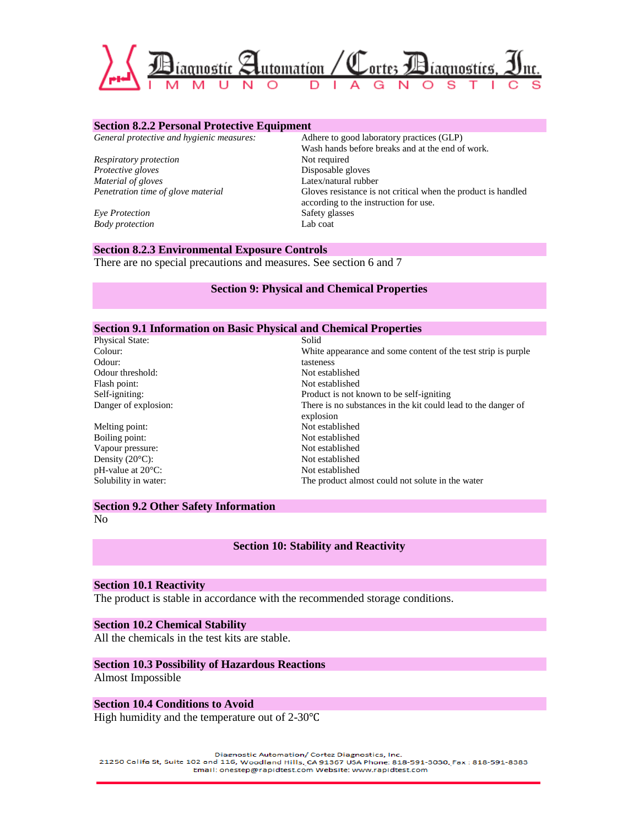

#### **Section 8.2.2 Personal Protective Equipment**

*Respiratory protection* Not required *Protective gloves* Disposable gloves *Material of gloves* Latex/natural rubber

*Eye Protection* **Safety glasses**<br> **Body protection CALC 2008 Lab** coat **Body** protection

*General protective and hygienic measures:* Adhere to good laboratory practices (GLP) Wash hands before breaks and at the end of work. *Penetration time of glove material* Gloves resistance is not critical when the product is handled according to the instruction for use.

#### **Section 8.2.3 Environmental Exposure Controls**

There are no special precautions and measures. See section 6 and 7

#### **Section 9: Physical and Chemical Properties**

#### **Section 9.1 Information on Basic Physical and Chemical Properties**

| <b>Physical State:</b>         | Solid                                                                      |
|--------------------------------|----------------------------------------------------------------------------|
| Colour:                        | White appearance and some content of the test strip is purple              |
| Odour:                         | tasteness                                                                  |
| Odour threshold:               | Not established                                                            |
| Flash point:                   | Not established                                                            |
| Self-igniting:                 | Product is not known to be self-igniting                                   |
| Danger of explosion:           | There is no substances in the kit could lead to the danger of<br>explosion |
| Melting point:                 | Not established                                                            |
| Boiling point:                 | Not established                                                            |
| Vapour pressure:               | Not established                                                            |
| Density $(20^{\circ}C)$ :      | Not established                                                            |
| $pH$ -value at $20^{\circ}C$ : | Not established                                                            |

## Solubility in water: The product almost could not solute in the water

#### **Section 9.2 Other Safety Information**

No

### **Section 10: Stability and Reactivity**

## **Section 10.1 Reactivity**

The product is stable in accordance with the recommended storage conditions.

### **Section 10.2 Chemical Stability**

All the chemicals in the test kits are stable.

#### **Section 10.3 Possibility of Hazardous Reactions**

Almost Impossible

#### **Section 10.4 Conditions to Avoid**

High humidity and the temperature out of 2-30℃

Diagnostic Automation/ Cortez Diagnostics, Inc.

21250 Califa St, Suite 102 and 116, Woodland Hills, CA 91367 USA Phone: 818-591-3030, Fax: 818-591-8383 Email: onestep@rapidtest.com Website: www.rapidtest.com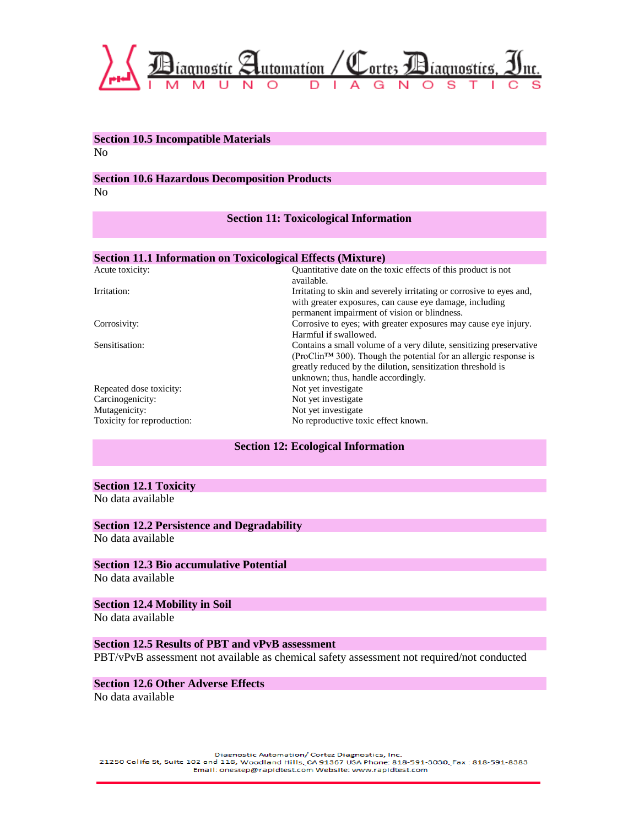

#### **Section 10.5 Incompatible Materials** No

### **Section 10.6 Hazardous Decomposition Products**

No

## **Section 11: Toxicological Information**

## **Section 11.1 Information on Toxicological Effects (Mixture)**

| Acute toxicity:            | Quantitative date on the toxic effects of this product is not        |
|----------------------------|----------------------------------------------------------------------|
|                            | available.                                                           |
| Irritation:                | Irritating to skin and severely irritating or corrosive to eyes and, |
|                            | with greater exposures, can cause eye damage, including              |
|                            | permanent impairment of vision or blindness.                         |
| Corrosivity:               | Corrosive to eyes; with greater exposures may cause eye injury.      |
|                            | Harmful if swallowed.                                                |
| Sensitisation:             | Contains a small volume of a very dilute, sensitizing preservative   |
|                            | $(ProClinTM 300)$ . Though the potential for an allergic response is |
|                            | greatly reduced by the dilution, sensitization threshold is          |
|                            | unknown; thus, handle accordingly.                                   |
| Repeated dose toxicity:    | Not yet investigate.                                                 |
| Carcinogenicity:           | Not yet investigate.                                                 |
| Mutagenicity:              | Not yet investigate.                                                 |
| Toxicity for reproduction: | No reproductive toxic effect known.                                  |

### **Section 12: Ecological Information**

## **Section 12.1 Toxicity**

No data available

# **Section 12.2 Persistence and Degradability**

No data available

## **Section 12.3 Bio accumulative Potential**

No data available

## **Section 12.4 Mobility in Soil**

No data available

## **Section 12.5 Results of PBT and vPvB assessment**

PBT/vPvB assessment not available as chemical safety assessment not required/not conducted

# **Section 12.6 Other Adverse Effects**

No data available

Diagnostic Automation/ Cortez Diagnostics, Inc. 21250 Califa St, Suite 102 and 116, Woodland Hills, CA 91367 USA Phone: 818-591-3030, Fax: 818-591-8383 Email: onestep@rapidtest.com Website: www.rapidtest.com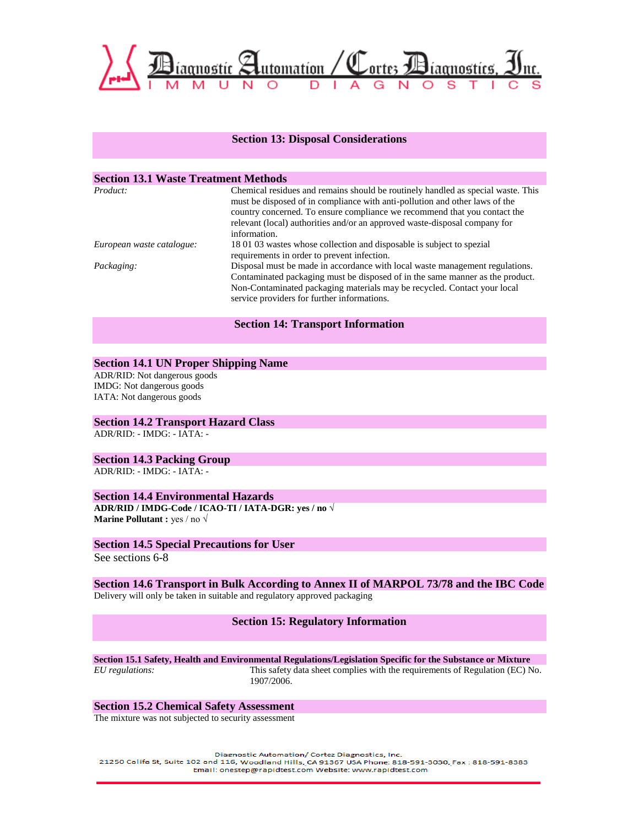

#### **Section 13: Disposal Considerations**

#### **Section 13.1 Waste Treatment Methods**

| Product:                  | Chemical residues and remains should be routinely handled as special waste. This<br>must be disposed of in compliance with anti-pollution and other laws of the<br>country concerned. To ensure compliance we recommend that you contact the<br>relevant (local) authorities and/or an approved waste-disposal company for<br>information. |
|---------------------------|--------------------------------------------------------------------------------------------------------------------------------------------------------------------------------------------------------------------------------------------------------------------------------------------------------------------------------------------|
| European waste catalogue: | 180103 wastes whose collection and disposable is subject to spezial<br>requirements in order to prevent infection.                                                                                                                                                                                                                         |
| Packaging:                | Disposal must be made in accordance with local waste management regulations.<br>Contaminated packaging must be disposed of in the same manner as the product.<br>Non-Contaminated packaging materials may be recycled. Contact your local<br>service providers for further informations.                                                   |

#### **Section 14: Transport Information**

#### **Section 14.1 UN Proper Shipping Name**

ADR/RID: Not dangerous goods IMDG: Not dangerous goods IATA: Not dangerous goods

**Section 14.2 Transport Hazard Class** ADR/RID: - IMDG: - IATA: -

#### **Section 14.3 Packing Group**

ADR/RID: - IMDG: - IATA: -

#### **Section 14.4 Environmental Hazards**

**ADR/RID / IMDG-Code / ICAO-TI / IATA-DGR: yes / no** √ **Marine Pollutant :** yes / no √

#### **Section 14.5 Special Precautions for User**

See sections 6-8

## **Section 14.6 Transport in Bulk According to Annex II of MARPOL 73/78 and the IBC Code**

Delivery will only be taken in suitable and regulatory approved packaging

#### **Section 15: Regulatory Information**

**Section 15.1 Safety, Health and Environmental Regulations/Legislation Specific for the Substance or Mixture**  *EU regulations:* This safety data sheet complies with the requirements of Regulation (EC) No.

1907/2006.

#### **Section 15.2 Chemical Safety Assessment**

The mixture was not subjected to security assessment

Diagnostic Automation/ Cortez Diagnostics, Inc. 21250 Califa St, Suite 102 and 116, Woodland Hills, CA 91367 USA Phone: 818-591-3030, Fax: 818-591-8383 Email: onestep@rapidtest.com Website: www.rapidtest.com